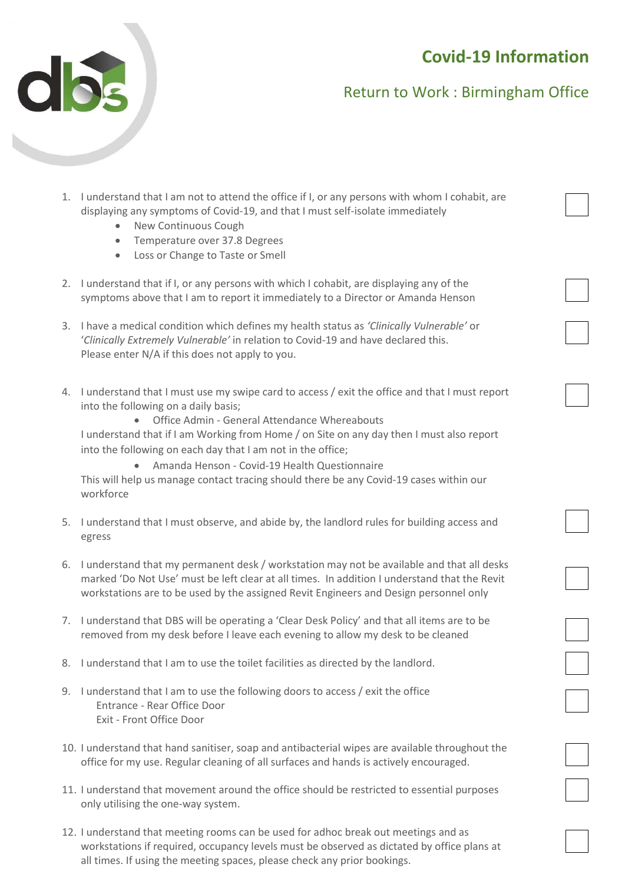# **Covid-19 Information**



## Return to Work : Birmingham Office

- 1. I understand that I am not to attend the office if I, or any persons with whom I cohabit, are displaying any symptoms of Covid-19, and that I must self-isolate immediately
	- New Continuous Cough
	- Temperature over 37.8 Degrees
	- Loss or Change to Taste or Smell
- 2. I understand that if I, or any persons with which I cohabit, are displaying any of the symptoms above that I am to report it immediately to a Director or Amanda Henson
- 3. I have a medical condition which defines my health status as *'Clinically Vulnerable'* or '*Clinically Extremely Vulnerable'* in relation to Covid-19 and have declared this. Please enter N/A if this does not apply to you.
- 4. I understand that I must use my swipe card to access / exit the office and that I must report into the following on a daily basis;
	- Office Admin General Attendance Whereabouts

I understand that if I am Working from Home / on Site on any day then I must also report into the following on each day that I am not in the office;

• Amanda Henson - Covid-19 Health Questionnaire

This will help us manage contact tracing should there be any Covid-19 cases within our workforce

- 5. I understand that I must observe, and abide by, the landlord rules for building access and egress
- 6. I understand that my permanent desk / workstation may not be available and that all desks marked 'Do Not Use' must be left clear at all times. In addition I understand that the Revit workstations are to be used by the assigned Revit Engineers and Design personnel only
- 7. I understand that DBS will be operating a 'Clear Desk Policy' and that all items are to be removed from my desk before I leave each evening to allow my desk to be cleaned
- 8. I understand that I am to use the toilet facilities as directed by the landlord.
- 9. I understand that I am to use the following doors to access / exit the office Entrance - Rear Office Door Exit - Front Office Door
- 10. I understand that hand sanitiser, soap and antibacterial wipes are available throughout the office for my use. Regular cleaning of all surfaces and hands is actively encouraged.
- 11. I understand that movement around the office should be restricted to essential purposes only utilising the one-way system.
- 12. I understand that meeting rooms can be used for adhoc break out meetings and as workstations if required, occupancy levels must be observed as dictated by office plans at all times. If using the meeting spaces, please check any prior bookings.